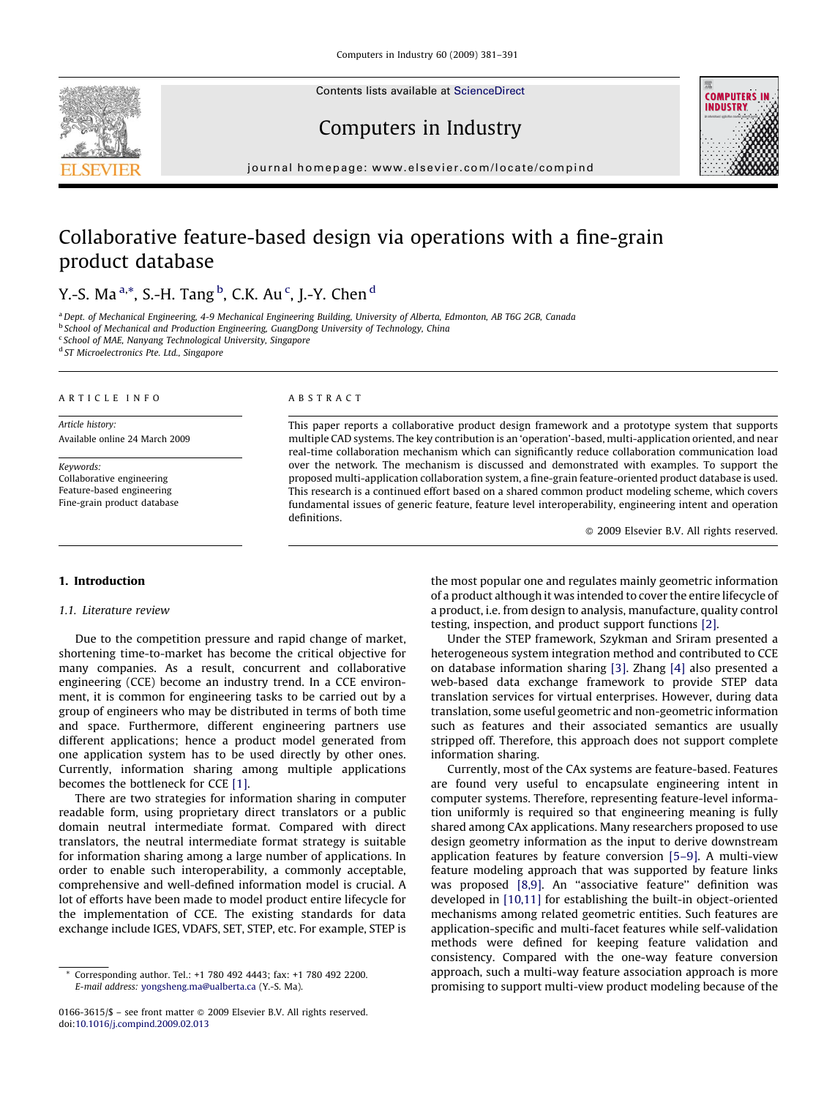Contents lists available at [ScienceDirect](http://www.sciencedirect.com/science/journal/01663615)





Computers in Industry

journal homepage: www.elsevier.com/locate/compind

# Collaborative feature-based design via operations with a fine-grain product database

# Y.-S. Ma <sup>a,\*</sup>, S.-H. Tang <sup>b</sup>, C.K. Au <sup>c</sup>, J.-Y. Chen <sup>d</sup>

a Dept. of Mechanical Engineering, 4-9 Mechanical Engineering Building, University of Alberta, Edmonton, AB T6G 2GB, Canada b School of Mechanical and Production Engineering, GuangDong University of Technology, China <sup>c</sup> School of MAE, Nanyang Technological University, Singapore

<sup>d</sup> ST Microelectronics Pte. Ltd., Singapore

#### ARTICLE INFO

Article history: Available online 24 March 2009

Keywords: Collaborative engineering Feature-based engineering Fine-grain product database

#### ABSTRACT

This paper reports a collaborative product design framework and a prototype system that supports multiple CAD systems. The key contribution is an 'operation'-based, multi-application oriented, and near real-time collaboration mechanism which can significantly reduce collaboration communication load over the network. The mechanism is discussed and demonstrated with examples. To support the proposed multi-application collaboration system, a fine-grain feature-oriented product database is used. This research is a continued effort based on a shared common product modeling scheme, which covers fundamental issues of generic feature, feature level interoperability, engineering intent and operation definitions.

- 2009 Elsevier B.V. All rights reserved.

# 1. Introduction

#### 1.1. Literature review

Due to the competition pressure and rapid change of market, shortening time-to-market has become the critical objective for many companies. As a result, concurrent and collaborative engineering (CCE) become an industry trend. In a CCE environment, it is common for engineering tasks to be carried out by a group of engineers who may be distributed in terms of both time and space. Furthermore, different engineering partners use different applications; hence a product model generated from one application system has to be used directly by other ones. Currently, information sharing among multiple applications becomes the bottleneck for CCE [\[1\].](#page-9-0)

There are two strategies for information sharing in computer readable form, using proprietary direct translators or a public domain neutral intermediate format. Compared with direct translators, the neutral intermediate format strategy is suitable for information sharing among a large number of applications. In order to enable such interoperability, a commonly acceptable, comprehensive and well-defined information model is crucial. A lot of efforts have been made to model product entire lifecycle for the implementation of CCE. The existing standards for data exchange include IGES, VDAFS, SET, STEP, etc. For example, STEP is

the most popular one and regulates mainly geometric information of a product although it was intended to cover the entire lifecycle of a product, i.e. from design to analysis, manufacture, quality control testing, inspection, and product support functions [\[2\]](#page-9-0).

Under the STEP framework, Szykman and Sriram presented a heterogeneous system integration method and contributed to CCE on database information sharing [\[3\].](#page-9-0) Zhang [\[4\]](#page-9-0) also presented a web-based data exchange framework to provide STEP data translation services for virtual enterprises. However, during data translation, some useful geometric and non-geometric information such as features and their associated semantics are usually stripped off. Therefore, this approach does not support complete information sharing.

Currently, most of the CAx systems are feature-based. Features are found very useful to encapsulate engineering intent in computer systems. Therefore, representing feature-level information uniformly is required so that engineering meaning is fully shared among CAx applications. Many researchers proposed to use design geometry information as the input to derive downstream application features by feature conversion [\[5–9\]](#page-9-0). A multi-view feature modeling approach that was supported by feature links was proposed [\[8,9\].](#page-9-0) An ''associative feature'' definition was developed in [\[10,11\]](#page-9-0) for establishing the built-in object-oriented mechanisms among related geometric entities. Such features are application-specific and multi-facet features while self-validation methods were defined for keeping feature validation and consistency. Compared with the one-way feature conversion approach, such a multi-way feature association approach is more promising to support multi-view product modeling because of the

Corresponding author. Tel.: +1 780 492 4443; fax: +1 780 492 2200. E-mail address: [yongsheng.ma@ualberta.ca](mailto:yongsheng.ma@ualberta.ca) (Y.-S. Ma).

<sup>0166-3615/\$ –</sup> see front matter © 2009 Elsevier B.V. All rights reserved. doi:[10.1016/j.compind.2009.02.013](http://dx.doi.org/10.1016/j.compind.2009.02.013)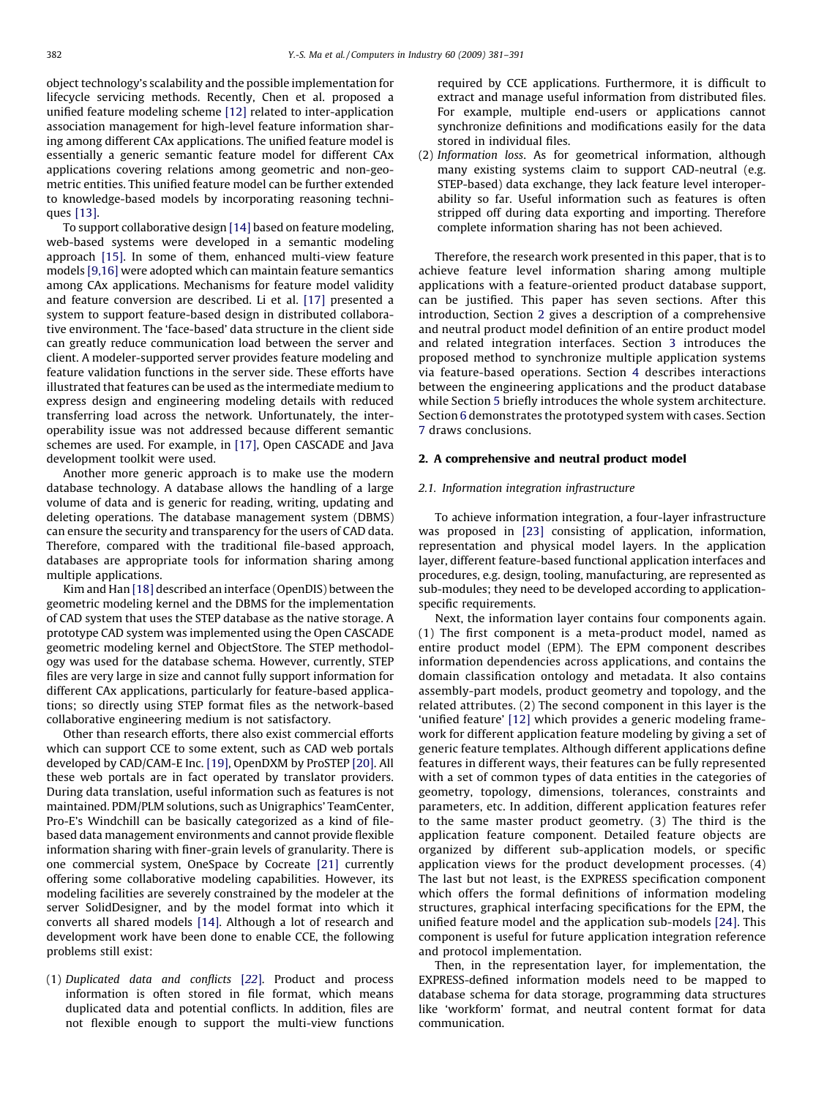To support collaborative design [\[14\]](#page-9-0) based on feature modeling, web-based systems were developed in a semantic modeling approach [\[15\]](#page-9-0). In some of them, enhanced multi-view feature models [\[9,16\]](#page-9-0) were adopted which can maintain feature semantics among CAx applications. Mechanisms for feature model validity and feature conversion are described. Li et al. [\[17\]](#page-9-0) presented a system to support feature-based design in distributed collaborative environment. The 'face-based' data structure in the client side can greatly reduce communication load between the server and client. A modeler-supported server provides feature modeling and feature validation functions in the server side. These efforts have illustrated that features can be used as the intermediate medium to express design and engineering modeling details with reduced transferring load across the network. Unfortunately, the interoperability issue was not addressed because different semantic schemes are used. For example, in [\[17\]](#page-9-0), Open CASCADE and Java development toolkit were used.

Another more generic approach is to make use the modern database technology. A database allows the handling of a large volume of data and is generic for reading, writing, updating and deleting operations. The database management system (DBMS) can ensure the security and transparency for the users of CAD data. Therefore, compared with the traditional file-based approach, databases are appropriate tools for information sharing among multiple applications.

Kim and Han [\[18\]](#page-9-0) described an interface (OpenDIS) between the geometric modeling kernel and the DBMS for the implementation of CAD system that uses the STEP database as the native storage. A prototype CAD system was implemented using the Open CASCADE geometric modeling kernel and ObjectStore. The STEP methodology was used for the database schema. However, currently, STEP files are very large in size and cannot fully support information for different CAx applications, particularly for feature-based applications; so directly using STEP format files as the network-based collaborative engineering medium is not satisfactory.

Other than research efforts, there also exist commercial efforts which can support CCE to some extent, such as CAD web portals developed by CAD/CAM-E Inc. [\[19\]](#page-9-0), OpenDXM by ProSTEP [\[20\]](#page-9-0). All these web portals are in fact operated by translator providers. During data translation, useful information such as features is not maintained. PDM/PLM solutions, such as Unigraphics' TeamCenter, Pro-E's Windchill can be basically categorized as a kind of filebased data management environments and cannot provide flexible information sharing with finer-grain levels of granularity. There is one commercial system, OneSpace by Cocreate [\[21\]](#page-9-0) currently offering some collaborative modeling capabilities. However, its modeling facilities are severely constrained by the modeler at the server SolidDesigner, and by the model format into which it converts all shared models [\[14\]](#page-9-0). Although a lot of research and development work have been done to enable CCE, the following problems still exist:

(1) Duplicated data and conflicts [[22](#page-9-0)]. Product and process information is often stored in file format, which means duplicated data and potential conflicts. In addition, files are not flexible enough to support the multi-view functions required by CCE applications. Furthermore, it is difficult to extract and manage useful information from distributed files. For example, multiple end-users or applications cannot synchronize definitions and modifications easily for the data stored in individual files.

(2) Information loss. As for geometrical information, although many existing systems claim to support CAD-neutral (e.g. STEP-based) data exchange, they lack feature level interoperability so far. Useful information such as features is often stripped off during data exporting and importing. Therefore complete information sharing has not been achieved.

Therefore, the research work presented in this paper, that is to achieve feature level information sharing among multiple applications with a feature-oriented product database support, can be justified. This paper has seven sections. After this introduction, Section 2 gives a description of a comprehensive and neutral product model definition of an entire product model and related integration interfaces. Section [3](#page-2-0) introduces the proposed method to synchronize multiple application systems via feature-based operations. Section [4](#page-4-0) describes interactions between the engineering applications and the product database while Section [5](#page-4-0) briefly introduces the whole system architecture. Section [6](#page-6-0) demonstrates the prototyped system with cases. Section [7](#page-9-0) draws conclusions.

# 2. A comprehensive and neutral product model

# 2.1. Information integration infrastructure

To achieve information integration, a four-layer infrastructure was proposed in [\[23\]](#page-9-0) consisting of application, information, representation and physical model layers. In the application layer, different feature-based functional application interfaces and procedures, e.g. design, tooling, manufacturing, are represented as sub-modules; they need to be developed according to applicationspecific requirements.

Next, the information layer contains four components again. (1) The first component is a meta-product model, named as entire product model (EPM). The EPM component describes information dependencies across applications, and contains the domain classification ontology and metadata. It also contains assembly-part models, product geometry and topology, and the related attributes. (2) The second component in this layer is the 'unified feature' [\[12\]](#page-9-0) which provides a generic modeling framework for different application feature modeling by giving a set of generic feature templates. Although different applications define features in different ways, their features can be fully represented with a set of common types of data entities in the categories of geometry, topology, dimensions, tolerances, constraints and parameters, etc. In addition, different application features refer to the same master product geometry. (3) The third is the application feature component. Detailed feature objects are organized by different sub-application models, or specific application views for the product development processes. (4) The last but not least, is the EXPRESS specification component which offers the formal definitions of information modeling structures, graphical interfacing specifications for the EPM, the unified feature model and the application sub-models [\[24\].](#page-9-0) This component is useful for future application integration reference and protocol implementation.

Then, in the representation layer, for implementation, the EXPRESS-defined information models need to be mapped to database schema for data storage, programming data structures like 'workform' format, and neutral content format for data communication.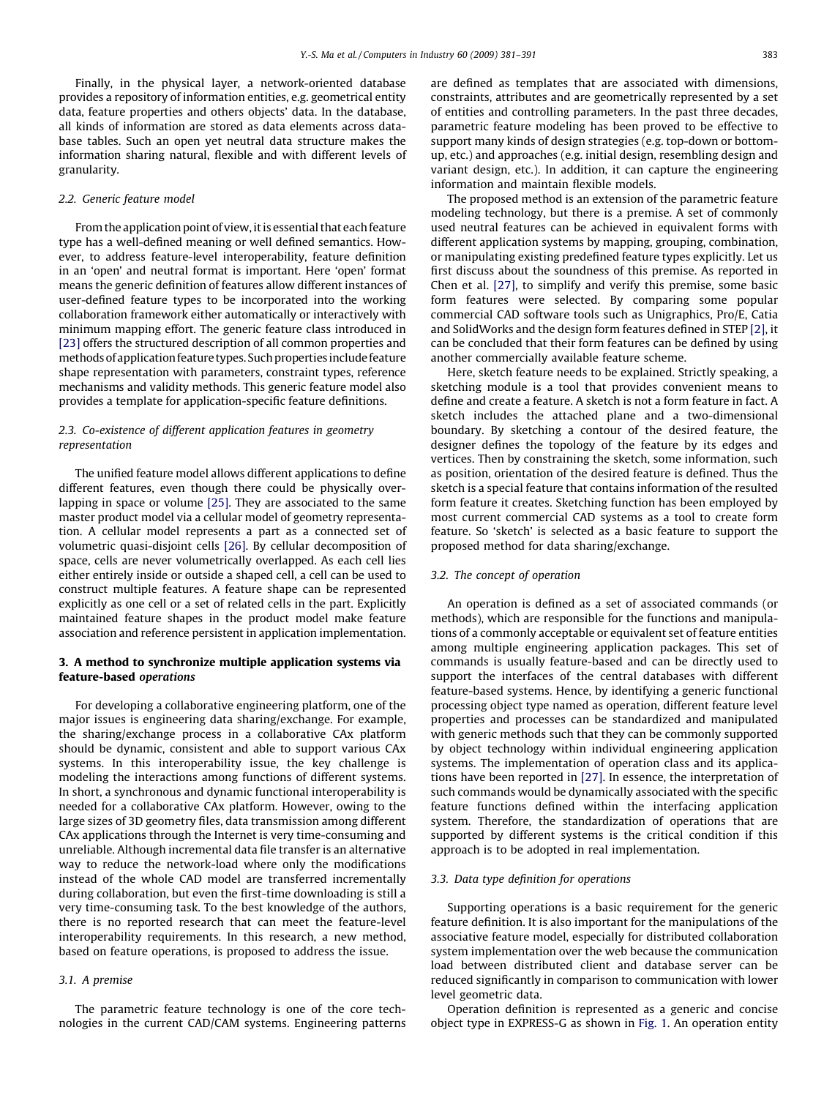<span id="page-2-0"></span>Finally, in the physical layer, a network-oriented database provides a repository of information entities, e.g. geometrical entity data, feature properties and others objects' data. In the database, all kinds of information are stored as data elements across database tables. Such an open yet neutral data structure makes the information sharing natural, flexible and with different levels of granularity.

#### 2.2. Generic feature model

From the application point of view, it is essential that each feature type has a well-defined meaning or well defined semantics. However, to address feature-level interoperability, feature definition in an 'open' and neutral format is important. Here 'open' format means the generic definition of features allow different instances of user-defined feature types to be incorporated into the working collaboration framework either automatically or interactively with minimum mapping effort. The generic feature class introduced in [\[23\]](#page-9-0) offers the structured description of all common properties and methods of application feature types. Such properties include feature shape representation with parameters, constraint types, reference mechanisms and validity methods. This generic feature model also provides a template for application-specific feature definitions.

# 2.3. Co-existence of different application features in geometry representation

The unified feature model allows different applications to define different features, even though there could be physically overlapping in space or volume [\[25\]](#page-9-0). They are associated to the same master product model via a cellular model of geometry representation. A cellular model represents a part as a connected set of volumetric quasi-disjoint cells [\[26\].](#page-9-0) By cellular decomposition of space, cells are never volumetrically overlapped. As each cell lies either entirely inside or outside a shaped cell, a cell can be used to construct multiple features. A feature shape can be represented explicitly as one cell or a set of related cells in the part. Explicitly maintained feature shapes in the product model make feature association and reference persistent in application implementation.

# 3. A method to synchronize multiple application systems via feature-based operations

For developing a collaborative engineering platform, one of the major issues is engineering data sharing/exchange. For example, the sharing/exchange process in a collaborative CAx platform should be dynamic, consistent and able to support various CAx systems. In this interoperability issue, the key challenge is modeling the interactions among functions of different systems. In short, a synchronous and dynamic functional interoperability is needed for a collaborative CAx platform. However, owing to the large sizes of 3D geometry files, data transmission among different CAx applications through the Internet is very time-consuming and unreliable. Although incremental data file transfer is an alternative way to reduce the network-load where only the modifications instead of the whole CAD model are transferred incrementally during collaboration, but even the first-time downloading is still a very time-consuming task. To the best knowledge of the authors, there is no reported research that can meet the feature-level interoperability requirements. In this research, a new method, based on feature operations, is proposed to address the issue.

# 3.1. A premise

The parametric feature technology is one of the core technologies in the current CAD/CAM systems. Engineering patterns are defined as templates that are associated with dimensions, constraints, attributes and are geometrically represented by a set of entities and controlling parameters. In the past three decades, parametric feature modeling has been proved to be effective to support many kinds of design strategies (e.g. top-down or bottomup, etc.) and approaches (e.g. initial design, resembling design and variant design, etc.). In addition, it can capture the engineering information and maintain flexible models.

The proposed method is an extension of the parametric feature modeling technology, but there is a premise. A set of commonly used neutral features can be achieved in equivalent forms with different application systems by mapping, grouping, combination, or manipulating existing predefined feature types explicitly. Let us first discuss about the soundness of this premise. As reported in Chen et al. [\[27\],](#page-9-0) to simplify and verify this premise, some basic form features were selected. By comparing some popular commercial CAD software tools such as Unigraphics, Pro/E, Catia and SolidWorks and the design form features defined in STEP [\[2\]](#page-9-0), it can be concluded that their form features can be defined by using another commercially available feature scheme.

Here, sketch feature needs to be explained. Strictly speaking, a sketching module is a tool that provides convenient means to define and create a feature. A sketch is not a form feature in fact. A sketch includes the attached plane and a two-dimensional boundary. By sketching a contour of the desired feature, the designer defines the topology of the feature by its edges and vertices. Then by constraining the sketch, some information, such as position, orientation of the desired feature is defined. Thus the sketch is a special feature that contains information of the resulted form feature it creates. Sketching function has been employed by most current commercial CAD systems as a tool to create form feature. So 'sketch' is selected as a basic feature to support the proposed method for data sharing/exchange.

# 3.2. The concept of operation

An operation is defined as a set of associated commands (or methods), which are responsible for the functions and manipulations of a commonly acceptable or equivalent set of feature entities among multiple engineering application packages. This set of commands is usually feature-based and can be directly used to support the interfaces of the central databases with different feature-based systems. Hence, by identifying a generic functional processing object type named as operation, different feature level properties and processes can be standardized and manipulated with generic methods such that they can be commonly supported by object technology within individual engineering application systems. The implementation of operation class and its applications have been reported in [\[27\].](#page-9-0) In essence, the interpretation of such commands would be dynamically associated with the specific feature functions defined within the interfacing application system. Therefore, the standardization of operations that are supported by different systems is the critical condition if this approach is to be adopted in real implementation.

# 3.3. Data type definition for operations

Supporting operations is a basic requirement for the generic feature definition. It is also important for the manipulations of the associative feature model, especially for distributed collaboration system implementation over the web because the communication load between distributed client and database server can be reduced significantly in comparison to communication with lower level geometric data.

Operation definition is represented as a generic and concise object type in EXPRESS-G as shown in [Fig. 1.](#page-3-0) An operation entity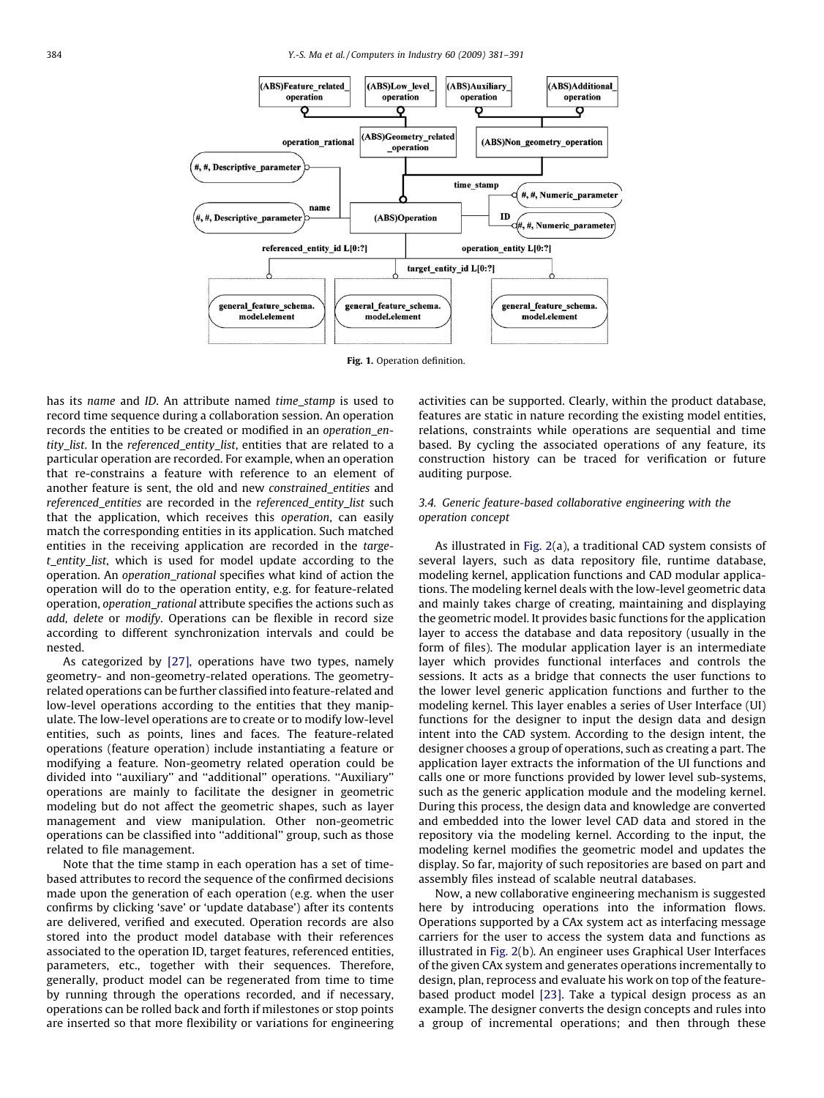<span id="page-3-0"></span>

Fig. 1. Operation definition.

has its name and ID. An attribute named time stamp is used to record time sequence during a collaboration session. An operation records the entities to be created or modified in an operation\_entity\_list. In the referenced\_entity\_list, entities that are related to a particular operation are recorded. For example, when an operation that re-constrains a feature with reference to an element of another feature is sent, the old and new constrained\_entities and referenced\_entities are recorded in the referenced\_entity\_list such that the application, which receives this operation, can easily match the corresponding entities in its application. Such matched entities in the receiving application are recorded in the target\_entity\_list, which is used for model update according to the operation. An operation\_rational specifies what kind of action the operation will do to the operation entity, e.g. for feature-related operation, *operation* rational attribute specifies the actions such as add, delete or modify. Operations can be flexible in record size according to different synchronization intervals and could be nested.

As categorized by [\[27\],](#page-9-0) operations have two types, namely geometry- and non-geometry-related operations. The geometryrelated operations can be further classified into feature-related and low-level operations according to the entities that they manipulate. The low-level operations are to create or to modify low-level entities, such as points, lines and faces. The feature-related operations (feature operation) include instantiating a feature or modifying a feature. Non-geometry related operation could be divided into ''auxiliary'' and ''additional'' operations. ''Auxiliary'' operations are mainly to facilitate the designer in geometric modeling but do not affect the geometric shapes, such as layer management and view manipulation. Other non-geometric operations can be classified into ''additional'' group, such as those related to file management.

Note that the time stamp in each operation has a set of timebased attributes to record the sequence of the confirmed decisions made upon the generation of each operation (e.g. when the user confirms by clicking 'save' or 'update database') after its contents are delivered, verified and executed. Operation records are also stored into the product model database with their references associated to the operation ID, target features, referenced entities, parameters, etc., together with their sequences. Therefore, generally, product model can be regenerated from time to time by running through the operations recorded, and if necessary, operations can be rolled back and forth if milestones or stop points are inserted so that more flexibility or variations for engineering activities can be supported. Clearly, within the product database, features are static in nature recording the existing model entities, relations, constraints while operations are sequential and time based. By cycling the associated operations of any feature, its construction history can be traced for verification or future auditing purpose.

# 3.4. Generic feature-based collaborative engineering with the operation concept

As illustrated in [Fig. 2](#page-4-0)(a), a traditional CAD system consists of several layers, such as data repository file, runtime database, modeling kernel, application functions and CAD modular applications. The modeling kernel deals with the low-level geometric data and mainly takes charge of creating, maintaining and displaying the geometric model. It provides basic functions for the application layer to access the database and data repository (usually in the form of files). The modular application layer is an intermediate layer which provides functional interfaces and controls the sessions. It acts as a bridge that connects the user functions to the lower level generic application functions and further to the modeling kernel. This layer enables a series of User Interface (UI) functions for the designer to input the design data and design intent into the CAD system. According to the design intent, the designer chooses a group of operations, such as creating a part. The application layer extracts the information of the UI functions and calls one or more functions provided by lower level sub-systems, such as the generic application module and the modeling kernel. During this process, the design data and knowledge are converted and embedded into the lower level CAD data and stored in the repository via the modeling kernel. According to the input, the modeling kernel modifies the geometric model and updates the display. So far, majority of such repositories are based on part and assembly files instead of scalable neutral databases.

Now, a new collaborative engineering mechanism is suggested here by introducing operations into the information flows. Operations supported by a CAx system act as interfacing message carriers for the user to access the system data and functions as illustrated in [Fig. 2\(](#page-4-0)b). An engineer uses Graphical User Interfaces of the given CAx system and generates operations incrementally to design, plan, reprocess and evaluate his work on top of the featurebased product model [\[23\].](#page-9-0) Take a typical design process as an example. The designer converts the design concepts and rules into a group of incremental operations; and then through these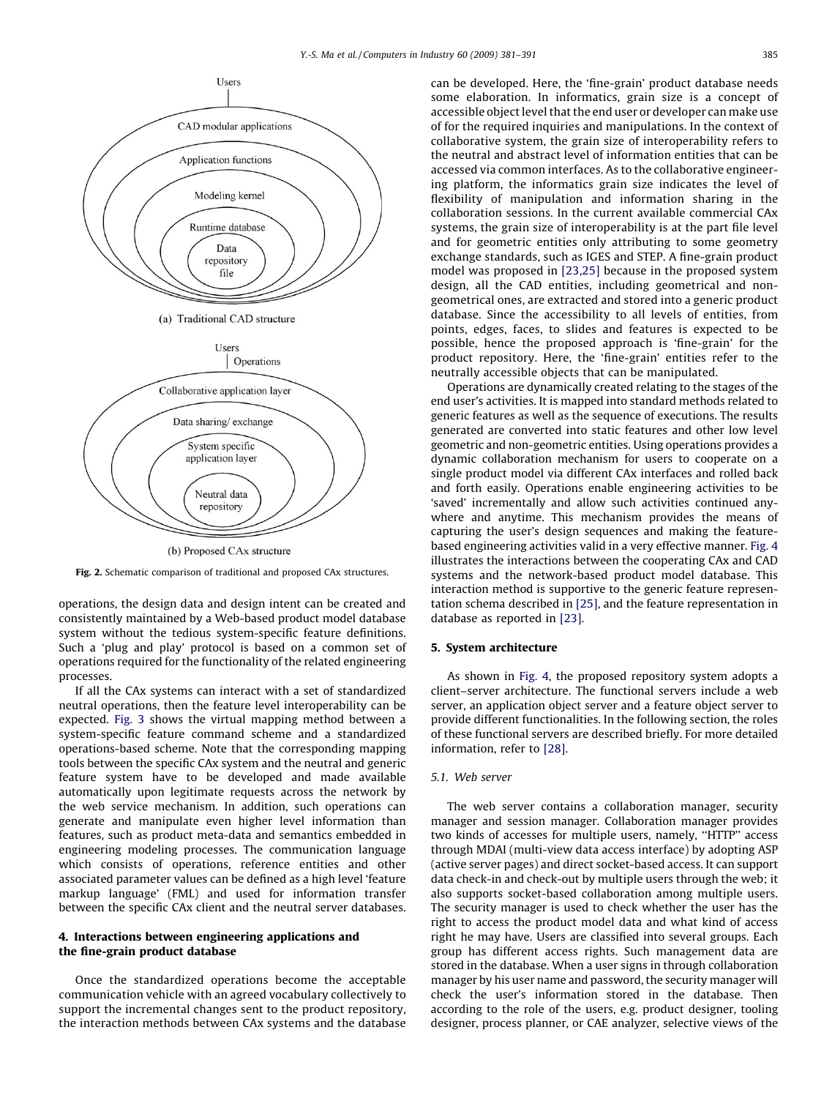<span id="page-4-0"></span>

Fig. 2. Schematic comparison of traditional and proposed CAx structures.

operations, the design data and design intent can be created and consistently maintained by a Web-based product model database system without the tedious system-specific feature definitions. Such a 'plug and play' protocol is based on a common set of operations required for the functionality of the related engineering processes.

If all the CAx systems can interact with a set of standardized neutral operations, then the feature level interoperability can be expected. [Fig. 3](#page-5-0) shows the virtual mapping method between a system-specific feature command scheme and a standardized operations-based scheme. Note that the corresponding mapping tools between the specific CAx system and the neutral and generic feature system have to be developed and made available automatically upon legitimate requests across the network by the web service mechanism. In addition, such operations can generate and manipulate even higher level information than features, such as product meta-data and semantics embedded in engineering modeling processes. The communication language which consists of operations, reference entities and other associated parameter values can be defined as a high level 'feature markup language' (FML) and used for information transfer between the specific CAx client and the neutral server databases.

# 4. Interactions between engineering applications and the fine-grain product database

Once the standardized operations become the acceptable communication vehicle with an agreed vocabulary collectively to support the incremental changes sent to the product repository, the interaction methods between CAx systems and the database can be developed. Here, the 'fine-grain' product database needs some elaboration. In informatics, grain size is a concept of accessible object level that the end user or developer can make use of for the required inquiries and manipulations. In the context of collaborative system, the grain size of interoperability refers to the neutral and abstract level of information entities that can be accessed via common interfaces. As to the collaborative engineering platform, the informatics grain size indicates the level of flexibility of manipulation and information sharing in the collaboration sessions. In the current available commercial CAx systems, the grain size of interoperability is at the part file level and for geometric entities only attributing to some geometry exchange standards, such as IGES and STEP. A fine-grain product model was proposed in [\[23,25\]](#page-9-0) because in the proposed system design, all the CAD entities, including geometrical and nongeometrical ones, are extracted and stored into a generic product database. Since the accessibility to all levels of entities, from points, edges, faces, to slides and features is expected to be possible, hence the proposed approach is 'fine-grain' for the product repository. Here, the 'fine-grain' entities refer to the neutrally accessible objects that can be manipulated.

Operations are dynamically created relating to the stages of the end user's activities. It is mapped into standard methods related to generic features as well as the sequence of executions. The results generated are converted into static features and other low level geometric and non-geometric entities. Using operations provides a dynamic collaboration mechanism for users to cooperate on a single product model via different CAx interfaces and rolled back and forth easily. Operations enable engineering activities to be 'saved' incrementally and allow such activities continued anywhere and anytime. This mechanism provides the means of capturing the user's design sequences and making the featurebased engineering activities valid in a very effective manner. [Fig. 4](#page-5-0) illustrates the interactions between the cooperating CAx and CAD systems and the network-based product model database. This interaction method is supportive to the generic feature representation schema described in [\[25\]](#page-9-0), and the feature representation in database as reported in [\[23\]](#page-9-0).

# 5. System architecture

As shown in [Fig. 4,](#page-5-0) the proposed repository system adopts a client–server architecture. The functional servers include a web server, an application object server and a feature object server to provide different functionalities. In the following section, the roles of these functional servers are described briefly. For more detailed information, refer to [\[28\].](#page-9-0)

# 5.1. Web server

The web server contains a collaboration manager, security manager and session manager. Collaboration manager provides two kinds of accesses for multiple users, namely, ''HTTP'' access through MDAI (multi-view data access interface) by adopting ASP (active server pages) and direct socket-based access. It can support data check-in and check-out by multiple users through the web; it also supports socket-based collaboration among multiple users. The security manager is used to check whether the user has the right to access the product model data and what kind of access right he may have. Users are classified into several groups. Each group has different access rights. Such management data are stored in the database. When a user signs in through collaboration manager by his user name and password, the security manager will check the user's information stored in the database. Then according to the role of the users, e.g. product designer, tooling designer, process planner, or CAE analyzer, selective views of the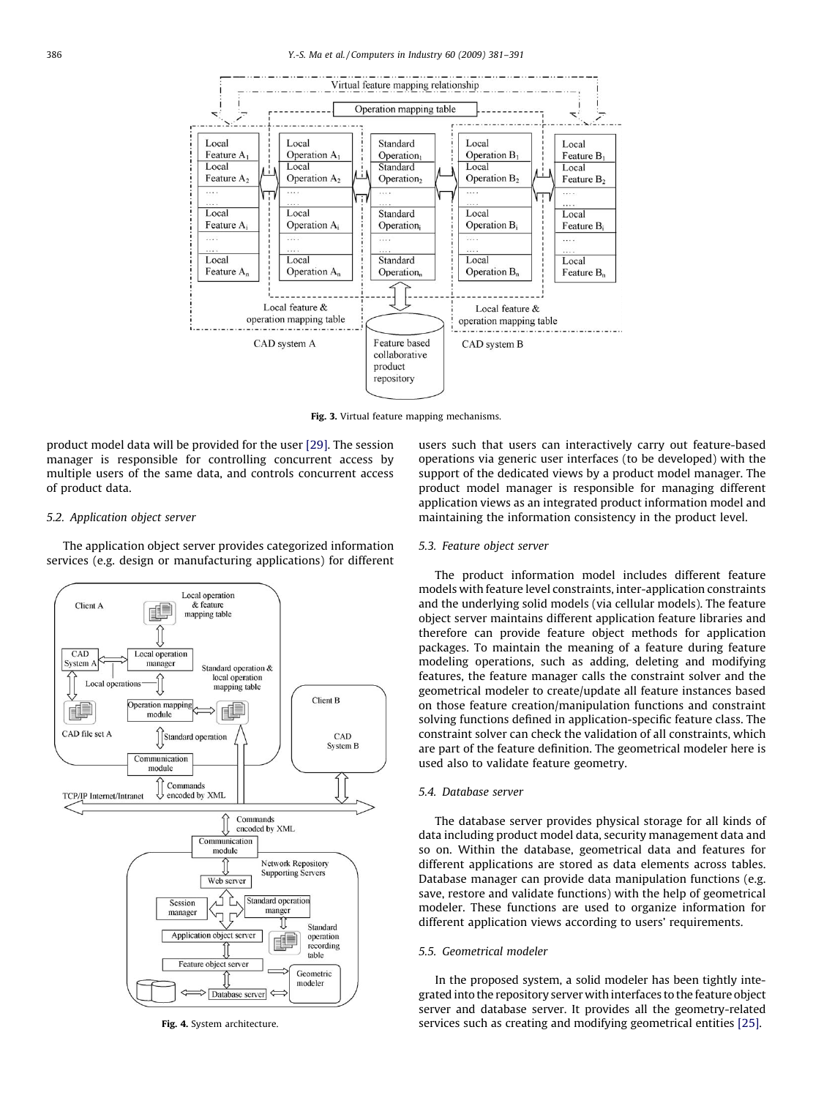<span id="page-5-0"></span>

Fig. 3. Virtual feature mapping mechanisms.

product model data will be provided for the user [\[29\].](#page-9-0) The session manager is responsible for controlling concurrent access by multiple users of the same data, and controls concurrent access of product data.

# 5.2. Application object server

The application object server provides categorized information services (e.g. design or manufacturing applications) for different



Fig. 4. System architecture.

users such that users can interactively carry out feature-based operations via generic user interfaces (to be developed) with the support of the dedicated views by a product model manager. The product model manager is responsible for managing different application views as an integrated product information model and maintaining the information consistency in the product level.

# 5.3. Feature object server

The product information model includes different feature models with feature level constraints, inter-application constraints and the underlying solid models (via cellular models). The feature object server maintains different application feature libraries and therefore can provide feature object methods for application packages. To maintain the meaning of a feature during feature modeling operations, such as adding, deleting and modifying features, the feature manager calls the constraint solver and the geometrical modeler to create/update all feature instances based on those feature creation/manipulation functions and constraint solving functions defined in application-specific feature class. The constraint solver can check the validation of all constraints, which are part of the feature definition. The geometrical modeler here is used also to validate feature geometry.

#### 5.4. Database server

The database server provides physical storage for all kinds of data including product model data, security management data and so on. Within the database, geometrical data and features for different applications are stored as data elements across tables. Database manager can provide data manipulation functions (e.g. save, restore and validate functions) with the help of geometrical modeler. These functions are used to organize information for different application views according to users' requirements.

#### 5.5. Geometrical modeler

In the proposed system, a solid modeler has been tightly integrated into the repository server with interfaces to the feature object server and database server. It provides all the geometry-related services such as creating and modifying geometrical entities [\[25\].](#page-9-0)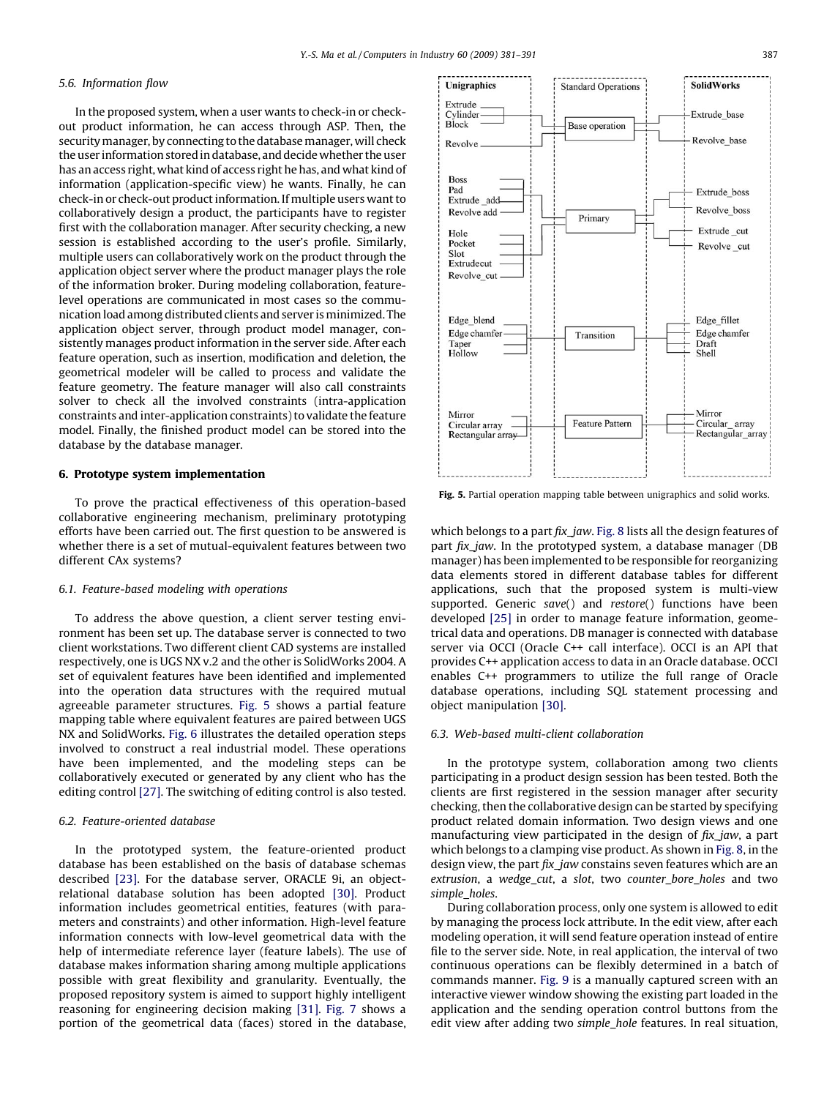# <span id="page-6-0"></span>5.6. Information flow

In the proposed system, when a user wants to check-in or checkout product information, he can access through ASP. Then, the securitymanager, by connecting to the databasemanager, will check the user information stored in database, and decide whether the user has an access right, what kind of access right he has, and what kind of information (application-specific view) he wants. Finally, he can check-in or check-out product information. If multiple users want to collaboratively design a product, the participants have to register first with the collaboration manager. After security checking, a new session is established according to the user's profile. Similarly, multiple users can collaboratively work on the product through the application object server where the product manager plays the role of the information broker. During modeling collaboration, featurelevel operations are communicated in most cases so the communication load among distributed clients and server is minimized. The application object server, through product model manager, consistently manages product information in the server side. After each feature operation, such as insertion, modification and deletion, the geometrical modeler will be called to process and validate the feature geometry. The feature manager will also call constraints solver to check all the involved constraints (intra-application constraints and inter-application constraints) to validate the feature model. Finally, the finished product model can be stored into the database by the database manager.

#### 6. Prototype system implementation

To prove the practical effectiveness of this operation-based collaborative engineering mechanism, preliminary prototyping efforts have been carried out. The first question to be answered is whether there is a set of mutual-equivalent features between two different CAx systems?

#### 6.1. Feature-based modeling with operations

To address the above question, a client server testing environment has been set up. The database server is connected to two client workstations. Two different client CAD systems are installed respectively, one is UGS NX v.2 and the other is SolidWorks 2004. A set of equivalent features have been identified and implemented into the operation data structures with the required mutual agreeable parameter structures. Fig. 5 shows a partial feature mapping table where equivalent features are paired between UGS NX and SolidWorks. [Fig. 6](#page-7-0) illustrates the detailed operation steps involved to construct a real industrial model. These operations have been implemented, and the modeling steps can be collaboratively executed or generated by any client who has the editing control [\[27\]](#page-9-0). The switching of editing control is also tested.

#### 6.2. Feature-oriented database

In the prototyped system, the feature-oriented product database has been established on the basis of database schemas described [\[23\]](#page-9-0). For the database server, ORACLE 9i, an objectrelational database solution has been adopted [\[30\]](#page-9-0). Product information includes geometrical entities, features (with parameters and constraints) and other information. High-level feature information connects with low-level geometrical data with the help of intermediate reference layer (feature labels). The use of database makes information sharing among multiple applications possible with great flexibility and granularity. Eventually, the proposed repository system is aimed to support highly intelligent reasoning for engineering decision making [\[31\]](#page-9-0). [Fig. 7](#page-8-0) shows a portion of the geometrical data (faces) stored in the database,



Fig. 5. Partial operation mapping table between unigraphics and solid works.

which belongs to a part fix\_jaw. [Fig. 8](#page-8-0) lists all the design features of part fix\_jaw. In the prototyped system, a database manager (DB manager) has been implemented to be responsible for reorganizing data elements stored in different database tables for different applications, such that the proposed system is multi-view supported. Generic save() and restore() functions have been developed [\[25\]](#page-9-0) in order to manage feature information, geometrical data and operations. DB manager is connected with database server via OCCI (Oracle C++ call interface). OCCI is an API that provides C++ application access to data in an Oracle database. OCCI enables C++ programmers to utilize the full range of Oracle database operations, including SQL statement processing and object manipulation [\[30\].](#page-9-0)

#### 6.3. Web-based multi-client collaboration

In the prototype system, collaboration among two clients participating in a product design session has been tested. Both the clients are first registered in the session manager after security checking, then the collaborative design can be started by specifying product related domain information. Two design views and one manufacturing view participated in the design of fix\_jaw, a part which belongs to a clamping vise product. As shown in [Fig. 8](#page-8-0), in the design view, the part fix\_jaw constains seven features which are an extrusion, a wedge\_cut, a slot, two counter\_bore\_holes and two simple\_holes.

During collaboration process, only one system is allowed to edit by managing the process lock attribute. In the edit view, after each modeling operation, it will send feature operation instead of entire file to the server side. Note, in real application, the interval of two continuous operations can be flexibly determined in a batch of commands manner. [Fig. 9](#page-8-0) is a manually captured screen with an interactive viewer window showing the existing part loaded in the application and the sending operation control buttons from the edit view after adding two simple\_hole features. In real situation,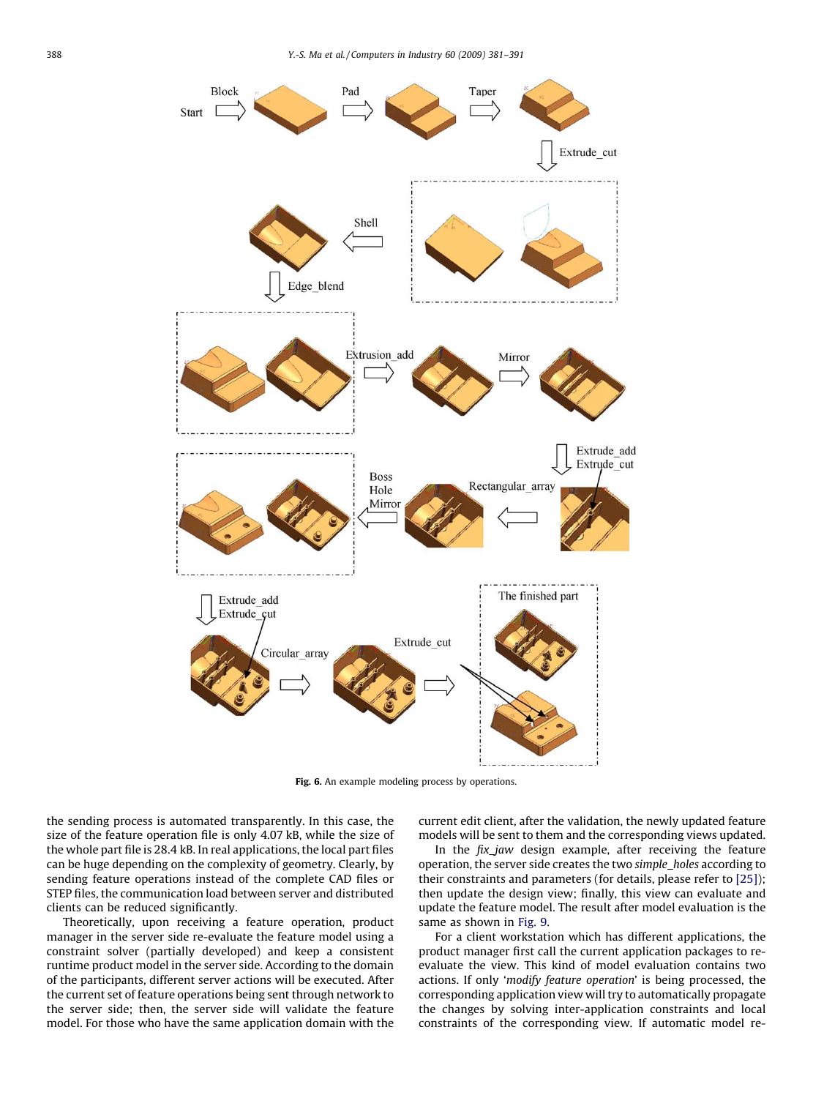<span id="page-7-0"></span>

Fig. 6. An example modeling process by operations.

the sending process is automated transparently. In this case, the size of the feature operation file is only 4.07 kB, while the size of the whole part file is 28.4 kB. In real applications, the local part files can be huge depending on the complexity of geometry. Clearly, by sending feature operations instead of the complete CAD files or STEP files, the communication load between server and distributed clients can be reduced significantly.

Theoretically, upon receiving a feature operation, product manager in the server side re-evaluate the feature model using a constraint solver (partially developed) and keep a consistent runtime product model in the server side. According to the domain of the participants, different server actions will be executed. After the current set of feature operations being sent through network to the server side; then, the server side will validate the feature model. For those who have the same application domain with the current edit client, after the validation, the newly updated feature models will be sent to them and the corresponding views updated.

In the fix\_jaw design example, after receiving the feature operation, the server side creates the two simple\_holes according to their constraints and parameters (for details, please refer to [\[25\]\)](#page-9-0); then update the design view; finally, this view can evaluate and update the feature model. The result after model evaluation is the same as shown in [Fig. 9](#page-8-0).

For a client workstation which has different applications, the product manager first call the current application packages to reevaluate the view. This kind of model evaluation contains two actions. If only 'modify feature operation' is being processed, the corresponding application view will try to automatically propagate the changes by solving inter-application constraints and local constraints of the corresponding view. If automatic model re-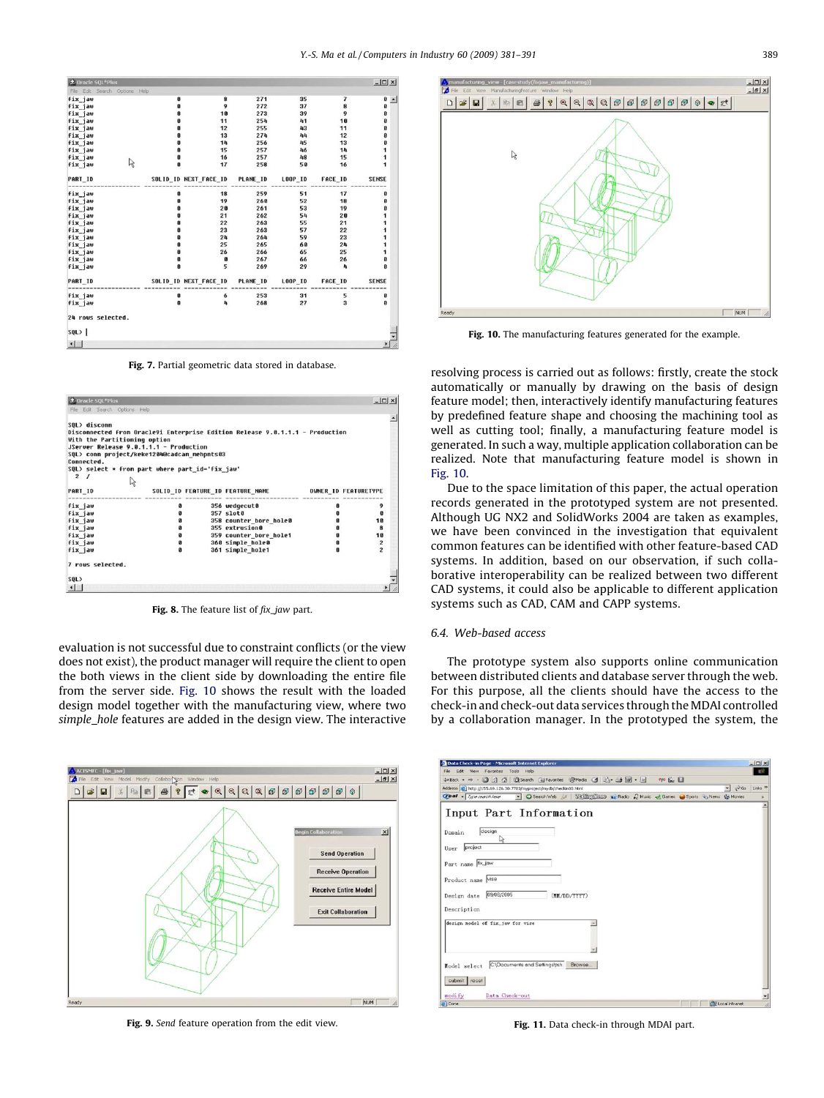<span id="page-8-0"></span>

| <b>± Oracle SQL*Plus</b>      |          |                       |          |                       |                  | $-10x$       |
|-------------------------------|----------|-----------------------|----------|-----------------------|------------------|--------------|
| File Edit Search Options Help |          |                       |          |                       |                  |              |
| fix jaw                       | 8        | 8                     | 271      | 35                    | 7                | 8            |
| <b>fix jaw</b>                | 0        | 9                     | 272      | 37                    | 8                | 0            |
| <b>fix jaw</b>                | Ñ        | 10                    | 273      | 39                    | 9                | 0            |
| <b>fix jaw</b>                |          | 11                    | 254      | 41                    | 18               | 8            |
| fix_jaw                       | A        | 12                    | 255      | 43                    | 11               | 8            |
| <b>fix jaw</b>                |          | 13                    | 274      | 44                    | 12               | 0            |
| fix jaw                       | ß        | 14                    | 256      | 45                    | 13               | 0            |
| fix jaw                       | A        | 15                    | 257      | 46                    | 14               | 1            |
| <b>fix jaw</b>                | ß        | 16                    | 257      | 48                    | 15               | 1            |
| W<br>fix jaw                  | Ø        | 17                    | 258      | 50                    | 16               | 1            |
| PART ID                       |          | SOLID ID NEXT FACE ID | PLANE_ID | $L00P$ <sub>_ID</sub> | FACE ID          | <b>SENSE</b> |
| fix_jaw                       | ø        | 18                    | 259      | 51                    | 17               | 8            |
| <b>fix jaw</b>                | 0        | 19                    | 268      | 52                    | 18               | 8            |
| fix_jaw                       | A        | 20                    | 261      | 53                    | 19               | 0            |
| fix jaw                       | Й        | 21                    | 262      | 54                    | 28               | 1            |
| <b>fix jaw</b>                | A        | 22                    | 263      | 55                    | 21               | 1            |
| <b>fix jaw</b>                | G        | 23                    | 263      | 57                    | 22               | $\mathbf{1}$ |
| <b>fix jaw</b>                | Ø        | 24                    | 264      | 59                    | 23               | 1            |
| <b>fix jaw</b>                | ß        | 25                    | 265      | 68                    | 24               | 1            |
| <b>fix jaw</b>                | A        | 26                    | 266      | 65                    | 25               | 1            |
| fix jaw                       | Ø        | $\theta$              | 267      | 66                    | 26               | 0            |
| fix_jaw                       | A        | 5                     | 269      | 29                    | $\mathbf{I}_{4}$ | a            |
| PART ID                       |          | SOLID ID NEXT FACE ID | PLANE_ID | $L00P$ _ID            | <b>FACE ID</b>   | <b>SENSE</b> |
| <b>fix jaw</b>                | g        | 6                     | 253      | 31                    | 5                | 8            |
| <b>fix jaw</b>                | <b>G</b> | 4                     | 268      | 27                    | 3                | ø            |
| 24 rows selected.             |          |                       |          |                       |                  |              |
| $SQL$ >                       |          |                       |          |                       |                  |              |
| $\left  \cdot \right $        |          |                       |          |                       |                  |              |

Fig. 7. Partial geometric data stored in database.

| <b>± Dracle SQL*Plus</b>      |                                                 |                                                                              |                      | $  $ $\Box$   $\times$ |
|-------------------------------|-------------------------------------------------|------------------------------------------------------------------------------|----------------------|------------------------|
| File Edit Search Options Help |                                                 |                                                                              |                      |                        |
| SOL> disconn                  |                                                 |                                                                              |                      |                        |
|                               |                                                 | Disconnected from Oracle9i Enterprise Edition Release 9.8.1.1.1 - Production |                      |                        |
| With the Partitioning option  |                                                 |                                                                              |                      |                        |
|                               | JServer Release 9.0.1.1.1 - Production          |                                                                              |                      |                        |
|                               | SQL> conn project/keke1204@cadcam mehpnts03     |                                                                              |                      |                        |
| Connected.                    |                                                 |                                                                              |                      |                        |
|                               | SQL> select * from part where part id='fix jaw' |                                                                              |                      |                        |
| $\overline{2}$                |                                                 |                                                                              |                      |                        |
|                               | hì                                              |                                                                              |                      |                        |
| PART ID                       |                                                 | SOLID_ID FEATURE ID FEATURE NAME                                             | OWNER ID FEATURETYPE |                        |
| fix jaw                       |                                                 | 356 wedgecut0                                                                |                      |                        |
| <b>fix jaw</b>                |                                                 | $357$ slotß                                                                  |                      | $\mathbf{g}$           |
| <b>fix jaw</b>                |                                                 | 358 counter bore hole8                                                       |                      | 18                     |
| fix jaw                       |                                                 | 355 extrusion@                                                               |                      | $\mathbf{R}$           |
| fix jaw                       |                                                 | 359 counter bore hole1                                                       |                      | 18                     |
| fix jaw                       |                                                 | 360 simple hole0                                                             |                      | $\overline{2}$         |
| fix jaw                       | a                                               | 361 simple hole1                                                             | $\mathbf{g}$         | $\overline{2}$         |
| 7 rows selected.              |                                                 |                                                                              |                      |                        |
| SQL                           |                                                 |                                                                              |                      |                        |
| $\left  \cdot \right $        |                                                 |                                                                              |                      |                        |

Fig. 8. The feature list of fix\_jaw part.

evaluation is not successful due to constraint conflicts (or the view does not exist), the product manager will require the client to open the both views in the client side by downloading the entire file from the server side. Fig. 10 shows the result with the loaded design model together with the manufacturing view, where two simple hole features are added in the design view. The interactive



Fig. 9. Send feature operation from the edit view.



Fig. 10. The manufacturing features generated for the example.

resolving process is carried out as follows: firstly, create the stock automatically or manually by drawing on the basis of design feature model; then, interactively identify manufacturing features by predefined feature shape and choosing the machining tool as well as cutting tool; finally, a manufacturing feature model is generated. In such a way, multiple application collaboration can be realized. Note that manufacturing feature model is shown in Fig. 10.

Due to the space limitation of this paper, the actual operation records generated in the prototyped system are not presented. Although UG NX2 and SolidWorks 2004 are taken as examples, we have been convinced in the investigation that equivalent common features can be identified with other feature-based CAD systems. In addition, based on our observation, if such collaborative interoperability can be realized between two different CAD systems, it could also be applicable to different application systems such as CAD, CAM and CAPP systems.

#### 6.4. Web-based access

The prototype system also supports online communication between distributed clients and database server through the web. For this purpose, all the clients should have the access to the check-in and check-out data services through the MDAI controlled by a collaboration manager. In the prototyped the system, the

| Data Check-in Page - Microsoft Internet Explorer<br>File Edit View Favorites Tools Help               |              |  |                                 | $-10x$ |
|-------------------------------------------------------------------------------------------------------|--------------|--|---------------------------------|--------|
|                                                                                                       |              |  |                                 | 中国     |
| Address 8 http://155.69.126.30:7783/myproject/mydb/checkin00.html                                     |              |  | $\sqrt{60}$ Links <sup>33</sup> |        |
| Coal - Type reach here - C Search Web - Willinghists a Radio 2 Music - Games C Sports - News & Movies |              |  |                                 |        |
|                                                                                                       |              |  |                                 |        |
| Input Part Information                                                                                |              |  |                                 |        |
|                                                                                                       |              |  |                                 |        |
| design                                                                                                |              |  |                                 |        |
| Domain<br>公                                                                                           |              |  |                                 |        |
| User project                                                                                          |              |  |                                 |        |
|                                                                                                       |              |  |                                 |        |
| Part name fix_jaw                                                                                     |              |  |                                 |        |
|                                                                                                       |              |  |                                 |        |
| Product name vise                                                                                     |              |  |                                 |        |
|                                                                                                       |              |  |                                 |        |
| Design date 09/08/2005                                                                                | (MM/DD/YYYY) |  |                                 |        |
|                                                                                                       |              |  |                                 |        |
| Description                                                                                           |              |  |                                 |        |
| design model of fix jav for vise                                                                      |              |  |                                 |        |
|                                                                                                       |              |  |                                 |        |
|                                                                                                       |              |  |                                 |        |
|                                                                                                       |              |  |                                 |        |
|                                                                                                       |              |  |                                 |        |
| Model select C\Documents and Settings\tsh.                                                            | Browse.      |  |                                 |        |
|                                                                                                       |              |  |                                 |        |
| submit reset                                                                                          |              |  |                                 |        |
|                                                                                                       |              |  |                                 |        |
| Data Check-out<br>modify                                                                              |              |  |                                 |        |

Fig. 11. Data check-in through MDAI part.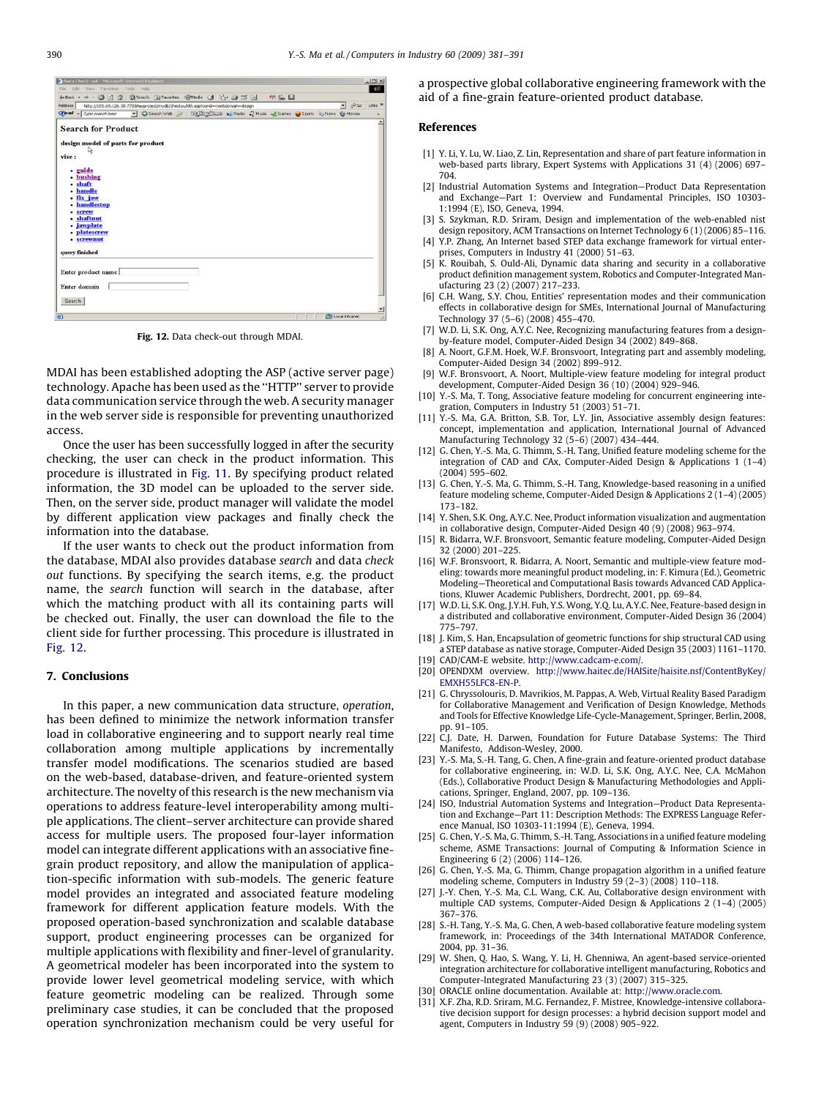<span id="page-9-0"></span>

Fig. 12. Data check-out through MDAI.

MDAI has been established adopting the ASP (active server page) technology. Apache has been used as the ''HTTP'' server to provide data communication service through the web. A security manager in the web server side is responsible for preventing unauthorized access.

Once the user has been successfully logged in after the security checking, the user can check in the product information. This procedure is illustrated in [Fig. 11.](#page-8-0) By specifying product related information, the 3D model can be uploaded to the server side. Then, on the server side, product manager will validate the model by different application view packages and finally check the information into the database.

If the user wants to check out the product information from the database, MDAI also provides database search and data check out functions. By specifying the search items, e.g. the product name, the search function will search in the database, after which the matching product with all its containing parts will be checked out. Finally, the user can download the file to the client side for further processing. This procedure is illustrated in Fig. 12.

# 7. Conclusions

In this paper, a new communication data structure, operation, has been defined to minimize the network information transfer load in collaborative engineering and to support nearly real time collaboration among multiple applications by incrementally transfer model modifications. The scenarios studied are based on the web-based, database-driven, and feature-oriented system architecture. The novelty of this research is the new mechanism via operations to address feature-level interoperability among multiple applications. The client–server architecture can provide shared access for multiple users. The proposed four-layer information model can integrate different applications with an associative finegrain product repository, and allow the manipulation of application-specific information with sub-models. The generic feature model provides an integrated and associated feature modeling framework for different application feature models. With the proposed operation-based synchronization and scalable database support, product engineering processes can be organized for multiple applications with flexibility and finer-level of granularity. A geometrical modeler has been incorporated into the system to provide lower level geometrical modeling service, with which feature geometric modeling can be realized. Through some preliminary case studies, it can be concluded that the proposed operation synchronization mechanism could be very useful for a prospective global collaborative engineering framework with the aid of a fine-grain feature-oriented product database.

#### References

- [1] Y. Li, Y. Lu, W. Liao, Z. Lin, Representation and share of part feature information in web-based parts library, Expert Systems with Applications 31 (4) (2006) 697– 704.
- [2] Industrial Automation Systems and Integration—Product Data Representation and Exchange—Part 1: Overview and Fundamental Principles, ISO 10303- 1:1994 (E), ISO, Geneva, 1994.
- [3] S. Szykman, R.D. Sriram, Design and implementation of the web-enabled nist design repository, ACM Transactions on Internet Technology 6 (1) (2006) 85–116.
- [4] Y.P. Zhang, An Internet based STEP data exchange framework for virtual enterprises, Computers in Industry 41 (2000) 51–63.
- [5] K. Rouibah, S. Ould-Ali, Dynamic data sharing and security in a collaborative product definition management system, Robotics and Computer-Integrated Manufacturing 23 (2) (2007) 217–233.
- [6] C.H. Wang, S.Y. Chou, Entities' representation modes and their communication effects in collaborative design for SMEs, International Journal of Manufacturing Technology 37 (5–6) (2008) 455–470.
- [7] W.D. Li, S.K. Ong, A.Y.C. Nee, Recognizing manufacturing features from a designby-feature model, Computer-Aided Design 34 (2002) 849–868.
- [8] A. Noort, G.F.M. Hoek, W.F. Bronsvoort, Integrating part and assembly modeling, Computer-Aided Design 34 (2002) 899–912.
- [9] W.F. Bronsvoort, A. Noort, Multiple-view feature modeling for integral product development, Computer-Aided Design 36 (10) (2004) 929–946.
- [10] Y.-S. Ma, T. Tong, Associative feature modeling for concurrent engineering integration, Computers in Industry 51 (2003) 51–71.
- [11] Y.-S. Ma, G.A. Britton, S.B. Tor, L.Y. Jin, Associative assembly design features: concept, implementation and application, International Journal of Advanced Manufacturing Technology 32 (5–6) (2007) 434–444.
- [12] G. Chen, Y.-S. Ma, G. Thimm, S.-H. Tang, Unified feature modeling scheme for the integration of CAD and CAx, Computer-Aided Design & Applications 1 (1–4) (2004) 595–602.
- [13] G. Chen, Y.-S. Ma, G. Thimm, S.-H. Tang, Knowledge-based reasoning in a unified feature modeling scheme, Computer-Aided Design & Applications 2 (1–4) (2005) 173–182.
- [14] Y. Shen, S.K. Ong, A.Y.C. Nee, Product information visualization and augmentation in collaborative design, Computer-Aided Design 40 (9) (2008) 963–974.
- [15] R. Bidarra, W.F. Bronsvoort, Semantic feature modeling, Computer-Aided Design 32 (2000) 201–225.
- [16] W.F. Bronsvoort, R. Bidarra, A. Noort, Semantic and multiple-view feature modeling: towards more meaningful product modeling, in: F. Kimura (Ed.), Geometric Modeling—Theoretical and Computational Basis towards Advanced CAD Applications, Kluwer Academic Publishers, Dordrecht, 2001, pp. 69–84.
- [17] W.D. Li, S.K. Ong, J.Y.H. Fuh, Y.S. Wong, Y.Q. Lu, A.Y.C. Nee, Feature-based design in a distributed and collaborative environment, Computer-Aided Design 36 (2004) 775–797.
- [18] J. Kim, S. Han, Encapsulation of geometric functions for ship structural CAD using a STEP database as native storage, Computer-Aided Design 35 (2003) 1161–1170.
- [19] CAD/CAM-E website. [http://www.cadcam-e.com/.](http://www.cadcam-e.com/) [20] OPENDXM overview. [http://www.haitec.de/HAISite/haisite.nsf/ContentByKey/](http://www.haitec.de/HAISite/haisite.nsf/ContentByKey/EMXH55LFC8-EN-P)
- [EMXH55LFC8-EN-P](http://www.haitec.de/HAISite/haisite.nsf/ContentByKey/EMXH55LFC8-EN-P).
- [21] G. Chryssolouris, D. Mavrikios, M. Pappas, A. Web, Virtual Reality Based Paradigm for Collaborative Management and Verification of Design Knowledge, Methods and Tools for Effective Knowledge Life-Cycle-Management, Springer, Berlin, 2008, pp. 91–105.
- [22] C.J. Date, H. Darwen, Foundation for Future Database Systems: The Third Manifesto, Addison-Wesley, 2000.
- [23] Y.-S. Ma, S.-H. Tang, G. Chen, A fine-grain and feature-oriented product database for collaborative engineering, in: W.D. Li, S.K. Ong, A.Y.C. Nee, C.A. McMahon (Eds.), Collaborative Product Design & Manufacturing Methodologies and Applications, Springer, England, 2007, pp. 109–136.
- [24] ISO, Industrial Automation Systems and Integration—Product Data Representation and Exchange—Part 11: Description Methods: The EXPRESS Language Reference Manual, ISO 10303-11:1994 (E), Geneva, 1994.
- [25] G. Chen, Y.-S. Ma, G. Thimm, S.-H. Tang, Associations in a unified feature modeling scheme, ASME Transactions: Journal of Computing & Information Science in Engineering 6 (2) (2006) 114–126.
- [26] G. Chen, Y.-S. Ma, G. Thimm, Change propagation algorithm in a unified feature modeling scheme, Computers in Industry 59 (2–3) (2008) 110–118.
- J.-Y. Chen, Y.-S. Ma, C.L. Wang, C.K. Au, Collaborative design environment with multiple CAD systems, Computer-Aided Design & Applications 2 (1–4) (2005) 367–376.
- [28] S.-H. Tang, Y.-S. Ma, G. Chen, A web-based collaborative feature modeling system framework, in: Proceedings of the 34th International MATADOR Conference, 2004, pp. 31–36.
- [29] W. Shen, Q. Hao, S. Wang, Y. Li, H. Ghenniwa, An agent-based service-oriented integration architecture for collaborative intelligent manufacturing, Robotics and Computer-Integrated Manufacturing 23 (3) (2007) 315–325.
- [30] ORACLE online documentation. Available at: [http://www.oracle.com.](http://www.oracle.com/)
- [31] X.F. Zha, R.D. Sriram, M.G. Fernandez, F. Mistree, Knowledge-intensive collaborative decision support for design processes: a hybrid decision support model and agent, Computers in Industry 59 (9) (2008) 905–922.